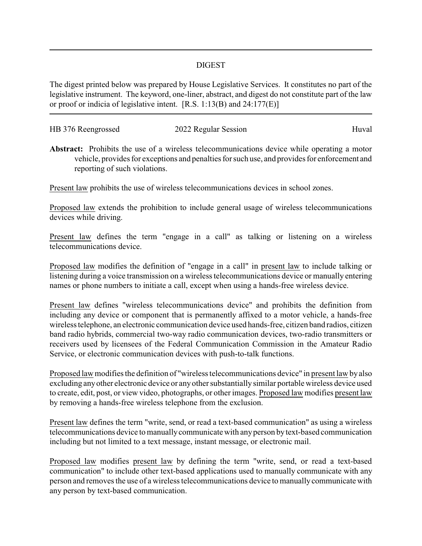## DIGEST

The digest printed below was prepared by House Legislative Services. It constitutes no part of the legislative instrument. The keyword, one-liner, abstract, and digest do not constitute part of the law or proof or indicia of legislative intent. [R.S. 1:13(B) and 24:177(E)]

| HB 376 Reengrossed | 2022 Regular Session | Huval |
|--------------------|----------------------|-------|
|                    |                      |       |

**Abstract:** Prohibits the use of a wireless telecommunications device while operating a motor vehicle, provides for exceptions and penalties for such use, and provides for enforcement and reporting of such violations.

Present law prohibits the use of wireless telecommunications devices in school zones.

Proposed law extends the prohibition to include general usage of wireless telecommunications devices while driving.

Present law defines the term "engage in a call" as talking or listening on a wireless telecommunications device.

Proposed law modifies the definition of "engage in a call" in present law to include talking or listening during a voice transmission on a wireless telecommunications device or manually entering names or phone numbers to initiate a call, except when using a hands-free wireless device.

Present law defines "wireless telecommunications device" and prohibits the definition from including any device or component that is permanently affixed to a motor vehicle, a hands-free wireless telephone, an electronic communication device used hands-free, citizen band radios, citizen band radio hybrids, commercial two-way radio communication devices, two-radio transmitters or receivers used by licensees of the Federal Communication Commission in the Amateur Radio Service, or electronic communication devices with push-to-talk functions.

Proposed law modifies the definition of "wireless telecommunications device" in present law byalso excluding anyother electronic device or anyother substantially similar portable wireless device used to create, edit, post, or view video, photographs, or other images. Proposed law modifies present law by removing a hands-free wireless telephone from the exclusion.

Present law defines the term "write, send, or read a text-based communication" as using a wireless telecommunications device to manuallycommunicate with anyperson bytext-based communication including but not limited to a text message, instant message, or electronic mail.

Proposed law modifies present law by defining the term "write, send, or read a text-based communication" to include other text-based applications used to manually communicate with any person and removes the use of a wireless telecommunications device to manuallycommunicate with any person by text-based communication.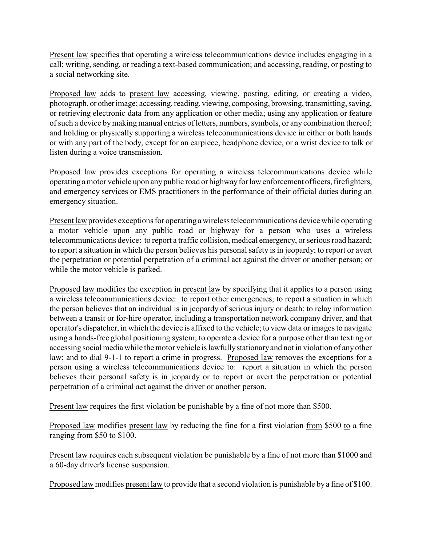Present law specifies that operating a wireless telecommunications device includes engaging in a call; writing, sending, or reading a text-based communication; and accessing, reading, or posting to a social networking site.

Proposed law adds to present law accessing, viewing, posting, editing, or creating a video, photograph, or otherimage; accessing, reading, viewing, composing, browsing, transmitting, saving, or retrieving electronic data from any application or other media; using any application or feature of such a device bymaking manual entries of letters, numbers, symbols, or any combination thereof; and holding or physically supporting a wireless telecommunications device in either or both hands or with any part of the body, except for an earpiece, headphone device, or a wrist device to talk or listen during a voice transmission.

Proposed law provides exceptions for operating a wireless telecommunications device while operating a motor vehicle upon anypublic road or highwayfor law enforcement officers, firefighters, and emergency services or EMS practitioners in the performance of their official duties during an emergency situation.

Present law provides exceptions for operating a wireless telecommunications device while operating a motor vehicle upon any public road or highway for a person who uses a wireless telecommunications device: to report a traffic collision, medical emergency, or serious road hazard; to report a situation in which the person believes his personal safety is in jeopardy; to report or avert the perpetration or potential perpetration of a criminal act against the driver or another person; or while the motor vehicle is parked.

Proposed law modifies the exception in present law by specifying that it applies to a person using a wireless telecommunications device: to report other emergencies; to report a situation in which the person believes that an individual is in jeopardy of serious injury or death; to relay information between a transit or for-hire operator, including a transportation network company driver, and that operator's dispatcher, in which the device is affixed to the vehicle; to view data or images to navigate using a hands-free global positioning system; to operate a device for a purpose other than texting or accessing social media while the motor vehicle is lawfullystationaryand not in violation of any other law; and to dial 9-1-1 to report a crime in progress. Proposed law removes the exceptions for a person using a wireless telecommunications device to: report a situation in which the person believes their personal safety is in jeopardy or to report or avert the perpetration or potential perpetration of a criminal act against the driver or another person.

Present law requires the first violation be punishable by a fine of not more than \$500.

Proposed law modifies present law by reducing the fine for a first violation from \$500 to a fine ranging from \$50 to \$100.

Present law requires each subsequent violation be punishable by a fine of not more than \$1000 and a 60-day driver's license suspension.

Proposed law modifies present law to provide that a second violation is punishable by a fine of \$100.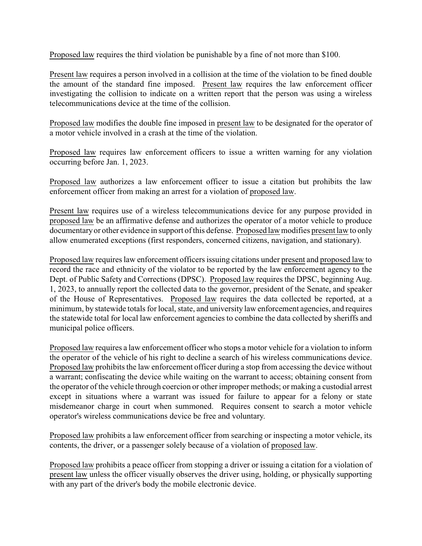Proposed law requires the third violation be punishable by a fine of not more than \$100.

Present law requires a person involved in a collision at the time of the violation to be fined double the amount of the standard fine imposed. Present law requires the law enforcement officer investigating the collision to indicate on a written report that the person was using a wireless telecommunications device at the time of the collision.

Proposed law modifies the double fine imposed in present law to be designated for the operator of a motor vehicle involved in a crash at the time of the violation.

Proposed law requires law enforcement officers to issue a written warning for any violation occurring before Jan. 1, 2023.

Proposed law authorizes a law enforcement officer to issue a citation but prohibits the law enforcement officer from making an arrest for a violation of proposed law.

Present law requires use of a wireless telecommunications device for any purpose provided in proposed law be an affirmative defense and authorizes the operator of a motor vehicle to produce documentaryor other evidence in support of this defense. Proposed law modifies present law to only allow enumerated exceptions (first responders, concerned citizens, navigation, and stationary).

Proposed law requires law enforcement officers issuing citations under present and proposed law to record the race and ethnicity of the violator to be reported by the law enforcement agency to the Dept. of Public Safety and Corrections (DPSC). Proposed law requires the DPSC, beginning Aug. 1, 2023, to annually report the collected data to the governor, president of the Senate, and speaker of the House of Representatives. Proposed law requires the data collected be reported, at a minimum, by statewide totals for local, state, and university law enforcement agencies, and requires the statewide total for local law enforcement agencies to combine the data collected by sheriffs and municipal police officers.

Proposed law requires a law enforcement officer who stops a motor vehicle for a violation to inform the operator of the vehicle of his right to decline a search of his wireless communications device. Proposed law prohibits the law enforcement officer during a stop from accessing the device without a warrant; confiscating the device while waiting on the warrant to access; obtaining consent from the operator of the vehicle through coercion or other improper methods; or making a custodial arrest except in situations where a warrant was issued for failure to appear for a felony or state misdemeanor charge in court when summoned. Requires consent to search a motor vehicle operator's wireless communications device be free and voluntary.

Proposed law prohibits a law enforcement officer from searching or inspecting a motor vehicle, its contents, the driver, or a passenger solely because of a violation of proposed law.

Proposed law prohibits a peace officer from stopping a driver or issuing a citation for a violation of present law unless the officer visually observes the driver using, holding, or physically supporting with any part of the driver's body the mobile electronic device.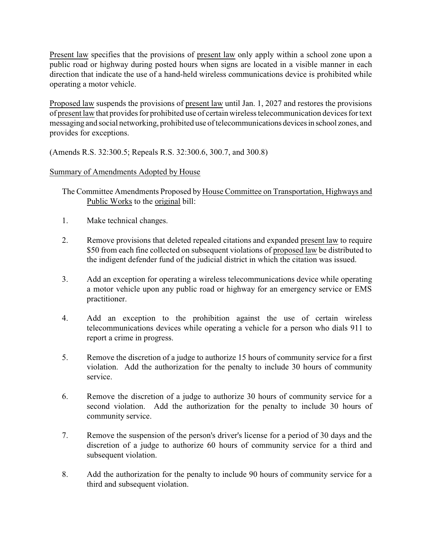Present law specifies that the provisions of present law only apply within a school zone upon a public road or highway during posted hours when signs are located in a visible manner in each direction that indicate the use of a hand-held wireless communications device is prohibited while operating a motor vehicle.

Proposed law suspends the provisions of present law until Jan. 1, 2027 and restores the provisions of present law that provides for prohibited use of certain wireless telecommunication devices for text messaging and social networking, prohibited use of telecommunications devicesin school zones, and provides for exceptions.

(Amends R.S. 32:300.5; Repeals R.S. 32:300.6, 300.7, and 300.8)

## Summary of Amendments Adopted by House

The Committee Amendments Proposed by House Committee on Transportation, Highways and Public Works to the original bill:

- 1. Make technical changes.
- 2. Remove provisions that deleted repealed citations and expanded present law to require \$50 from each fine collected on subsequent violations of proposed law be distributed to the indigent defender fund of the judicial district in which the citation was issued.
- 3. Add an exception for operating a wireless telecommunications device while operating a motor vehicle upon any public road or highway for an emergency service or EMS practitioner.
- 4. Add an exception to the prohibition against the use of certain wireless telecommunications devices while operating a vehicle for a person who dials 911 to report a crime in progress.
- 5. Remove the discretion of a judge to authorize 15 hours of community service for a first violation. Add the authorization for the penalty to include 30 hours of community service.
- 6. Remove the discretion of a judge to authorize 30 hours of community service for a second violation. Add the authorization for the penalty to include 30 hours of community service.
- 7. Remove the suspension of the person's driver's license for a period of 30 days and the discretion of a judge to authorize 60 hours of community service for a third and subsequent violation.
- 8. Add the authorization for the penalty to include 90 hours of community service for a third and subsequent violation.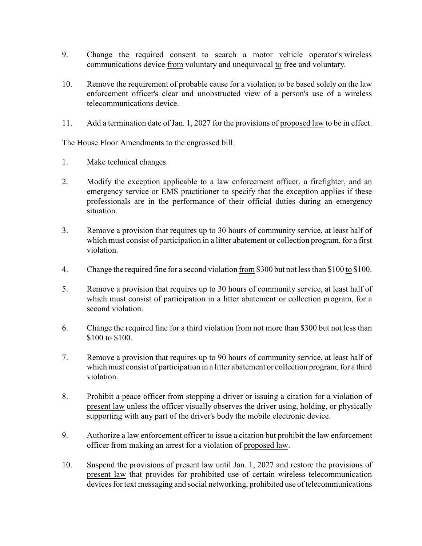- 9. Change the required consent to search a motor vehicle operator's wireless communications device from voluntary and unequivocal to free and voluntary.
- 10. Remove the requirement of probable cause for a violation to be based solely on the law enforcement officer's clear and unobstructed view of a person's use of a wireless telecommunications device.
- 11. Add a termination date of Jan. 1, 2027 for the provisions of proposed law to be in effect.

## The House Floor Amendments to the engrossed bill:

- 1. Make technical changes.
- 2. Modify the exception applicable to a law enforcement officer, a firefighter, and an emergency service or EMS practitioner to specify that the exception applies if these professionals are in the performance of their official duties during an emergency situation.
- 3. Remove a provision that requires up to 30 hours of community service, at least half of which must consist of participation in a litter abatement or collection program, for a first violation.
- 4. Change the required fine for a second violation from \$300 but not less than \$100 to \$100.
- 5. Remove a provision that requires up to 30 hours of community service, at least half of which must consist of participation in a litter abatement or collection program, for a second violation.
- 6. Change the required fine for a third violation from not more than \$300 but not less than \$100 to \$100.
- 7. Remove a provision that requires up to 90 hours of community service, at least half of which must consist of participation in a litter abatement or collection program, for a third violation.
- 8. Prohibit a peace officer from stopping a driver or issuing a citation for a violation of present law unless the officer visually observes the driver using, holding, or physically supporting with any part of the driver's body the mobile electronic device.
- 9. Authorize a law enforcement officer to issue a citation but prohibit the law enforcement officer from making an arrest for a violation of proposed law.
- 10. Suspend the provisions of present law until Jan. 1, 2027 and restore the provisions of present law that provides for prohibited use of certain wireless telecommunication devices for text messaging and social networking, prohibited use of telecommunications